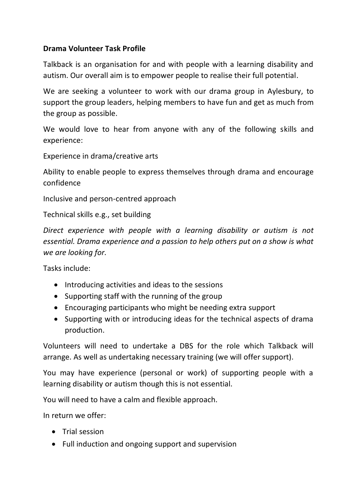## **Drama Volunteer Task Profile**

Talkback is an organisation for and with people with a learning disability and autism. Our overall aim is to empower people to realise their full potential.

We are seeking a volunteer to work with our drama group in Aylesbury, to support the group leaders, helping members to have fun and get as much from the group as possible.

We would love to hear from anyone with any of the following skills and experience:

Experience in drama/creative arts

Ability to enable people to express themselves through drama and encourage confidence

Inclusive and person-centred approach

Technical skills e.g., set building

*Direct experience with people with a learning disability or autism is not essential. Drama experience and a passion to help others put on a show is what we are looking for.*

Tasks include:

- Introducing activities and ideas to the sessions
- Supporting staff with the running of the group
- Encouraging participants who might be needing extra support
- Supporting with or introducing ideas for the technical aspects of drama production.

Volunteers will need to undertake a DBS for the role which Talkback will arrange. As well as undertaking necessary training (we will offer support).

You may have experience (personal or work) of supporting people with a learning disability or autism though this is not essential.

You will need to have a calm and flexible approach.

In return we offer:

- Trial session
- Full induction and ongoing support and supervision